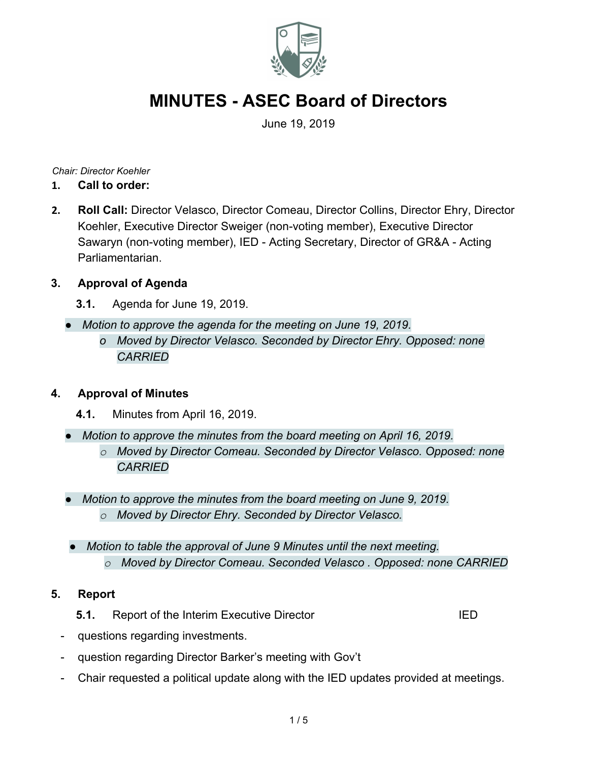

June 19, 2019

*Chair: Director Koehler*

- **1. Call to order:**
- **2. Roll Call:** Director Velasco, Director Comeau, Director Collins, Director Ehry, Director Koehler, Executive Director Sweiger (non-voting member), Executive Director Sawaryn (non-voting member), IED - Acting Secretary, Director of GR&A - Acting Parliamentarian.

#### **3. Approval of Agenda**

- **3.1.** Agenda for June 19, 2019.
- *● Motion to approve the agenda for the meeting on June 19, 2019.*
	- *o Moved by Director Velasco. Seconded by Director Ehry. Opposed: none CARRIED*

#### **4. Approval of Minutes**

- **4.1.** Minutes from April 16, 2019.
- *● Motion to approve the minutes from the board meeting on April 16, 2019.*
	- *o Moved by Director Comeau. Seconded by Director Velasco. Opposed: none CARRIED*
- *● Motion to approve the minutes from the board meeting on June 9, 2019. o Moved by Director Ehry. Seconded by Director Velasco.*
- *● Motion to table the approval of June 9 Minutes until the next meeting. o Moved by Director Comeau. Seconded Velasco . Opposed: none CARRIED*

#### **5. Report**

- **5.1.** Report of the Interim Executive Director **IED**
- questions regarding investments.
- question regarding Director Barker's meeting with Gov't
- Chair requested a political update along with the IED updates provided at meetings.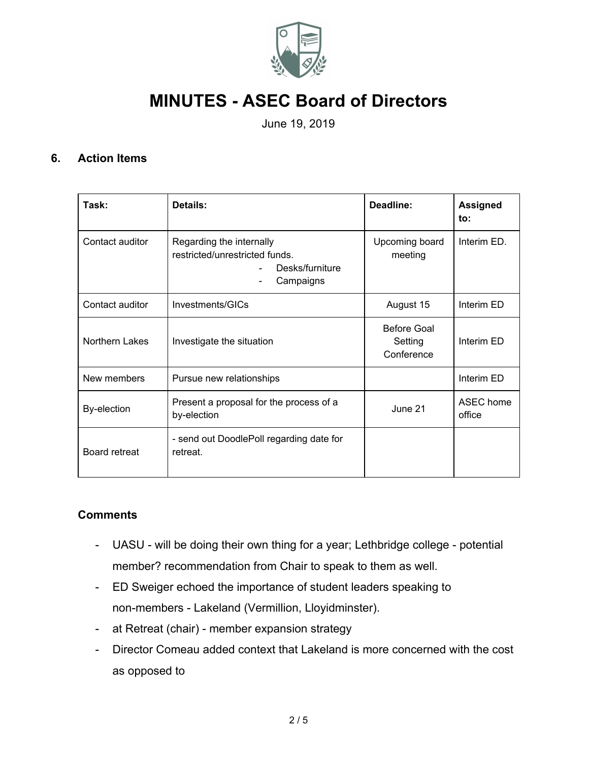

June 19, 2019

#### **6. Action Items**

| Task:              | Details:                                                                                   | Deadline:                            | <b>Assigned</b><br>to: |
|--------------------|--------------------------------------------------------------------------------------------|--------------------------------------|------------------------|
| Contact auditor    | Regarding the internally<br>restricted/unrestricted funds.<br>Desks/furniture<br>Campaigns | Upcoming board<br>meeting            | Interim ED.            |
| Contact auditor    | Investments/GICs                                                                           | August 15                            | Interim ED             |
| Northern Lakes     | Investigate the situation                                                                  | Before Goal<br>Setting<br>Conference | Interim ED             |
| New members        | Pursue new relationships                                                                   |                                      | Interim ED             |
| <b>By-election</b> | Present a proposal for the process of a<br>by-election                                     | June 21                              | ASEC home<br>office    |
| Board retreat      | - send out DoodlePoll regarding date for<br>retreat.                                       |                                      |                        |

#### **Comments**

- UASU will be doing their own thing for a year; Lethbridge college potential member? recommendation from Chair to speak to them as well.
- ED Sweiger echoed the importance of student leaders speaking to non-members - Lakeland (Vermillion, Lloyidminster).
- at Retreat (chair) member expansion strategy
- Director Comeau added context that Lakeland is more concerned with the cost as opposed to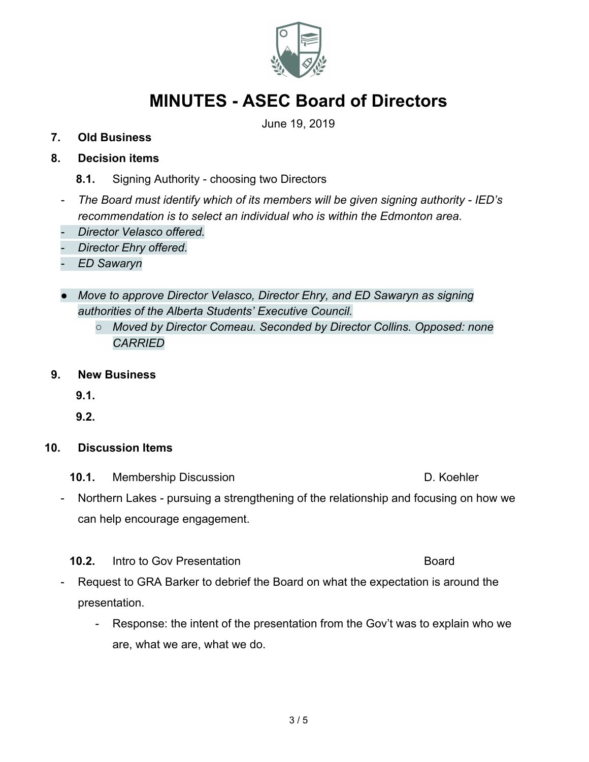

June 19, 2019

#### **7. Old Business**

### **8. Decision items**

- **8.1.** Signing Authority choosing two Directors
- *- The Board must identify which of its members will be given signing authority IED's recommendation is to select an individual who is within the Edmonton area.*
- *- Director Velasco offered.*
- *- Director Ehry offered.*
- *- ED Sawaryn*
- *● Move to approve Director Velasco, Director Ehry, and ED Sawaryn as signing authorities of the Alberta Students' Executive Council.*
	- *○ Moved by Director Comeau. Seconded by Director Collins. Opposed: none CARRIED*
- **9. New Business**

**9.1.**

**9.2.**

#### **10. Discussion Items**

- **10.1.** Membership Discussion D. Koehler
- Northern Lakes pursuing a strengthening of the relationship and focusing on how we can help encourage engagement.
- **10.2.** Intro to Gov Presentation **Board** Board
- Request to GRA Barker to debrief the Board on what the expectation is around the presentation.
	- Response: the intent of the presentation from the Gov't was to explain who we are, what we are, what we do.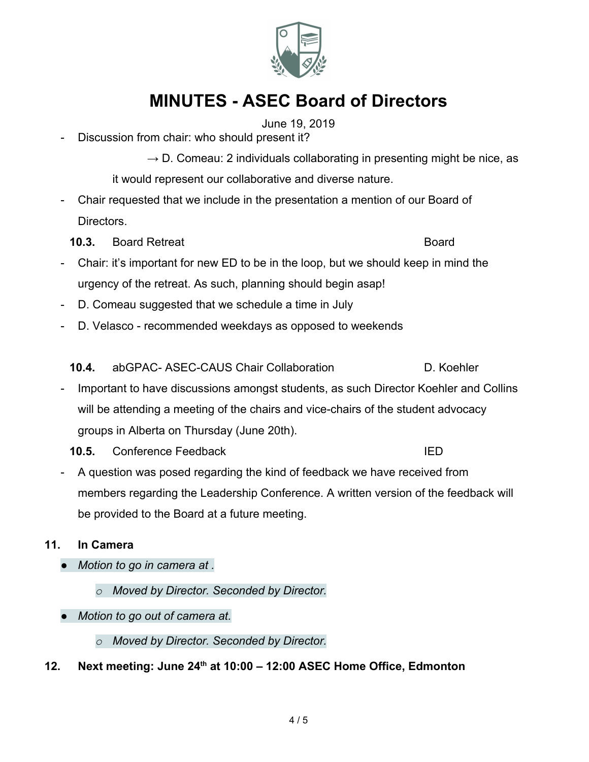4 / 5

# **MINUTES - ASEC Board of Directors**

June 19, 2019

- Discussion from chair: who should present it?

 $\rightarrow$  D. Comeau: 2 individuals collaborating in presenting might be nice, as it would represent our collaborative and diverse nature.

- Chair requested that we include in the presentation a mention of our Board of Directors.
	- **10.3.** Board Retreat Board Board Board Board Board Board Board Board Board Board Board Board Board Board Board Board Board Board Board Board Board Board Board Board Board Board Board Board Board Board Board Board Board Bo
- Chair: it's important for new ED to be in the loop, but we should keep in mind the urgency of the retreat. As such, planning should begin asap!
- D. Comeau suggested that we schedule a time in July
- D. Velasco recommended weekdays as opposed to weekends

**10.4.** abGPAC- ASEC-CAUS Chair Collaboration D. Koehler

- Important to have discussions amongst students, as such Director Koehler and Collins will be attending a meeting of the chairs and vice-chairs of the student advocacy groups in Alberta on Thursday (June 20th).
	- **10.5.** Conference Feedback **IED**
- A question was posed regarding the kind of feedback we have received from members regarding the Leadership Conference. A written version of the feedback will be provided to the Board at a future meeting.

## **11. In Camera**

- *● Motion to go in camera at .*
	- *o Moved by Director. Seconded by Director.*
- *● Motion to go out of camera at.*
	- *o Moved by Director. Seconded by Director.*
- **12. Next meeting: June 24th at 10:00 12:00 ASEC Home Office, Edmonton**